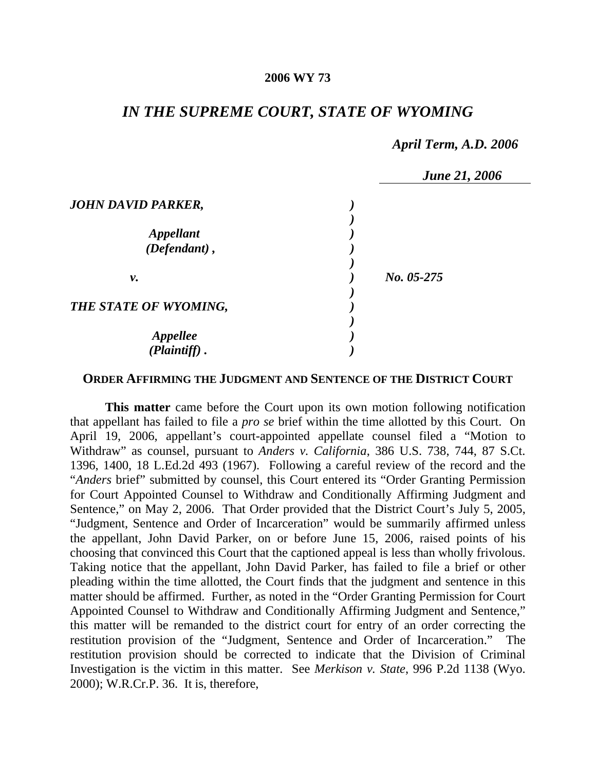### **2006 WY 73**

# *IN THE SUPREME COURT, STATE OF WYOMING*

## *April Term, A.D. 2006*

|                                    | <b>June 21, 2006</b> |  |
|------------------------------------|----------------------|--|
| <b>JOHN DAVID PARKER,</b>          |                      |  |
| <b>Appellant</b><br>(Defendant),   |                      |  |
| ν.                                 | No. 05-275           |  |
| THE STATE OF WYOMING,              |                      |  |
| <b>Appellee</b><br>$(Plaintiff)$ . |                      |  |

#### **ORDER AFFIRMING THE JUDGMENT AND SENTENCE OF THE DISTRICT COURT**

**This matter** came before the Court upon its own motion following notification that appellant has failed to file a *pro se* brief within the time allotted by this Court. On April 19, 2006, appellant's court-appointed appellate counsel filed a "Motion to Withdraw" as counsel, pursuant to *Anders v. California*, 386 U.S. 738, 744, 87 S.Ct. 1396, 1400, 18 L.Ed.2d 493 (1967). Following a careful review of the record and the "*Anders* brief" submitted by counsel, this Court entered its "Order Granting Permission for Court Appointed Counsel to Withdraw and Conditionally Affirming Judgment and Sentence," on May 2, 2006. That Order provided that the District Court's July 5, 2005, "Judgment, Sentence and Order of Incarceration" would be summarily affirmed unless the appellant, John David Parker, on or before June 15, 2006, raised points of his choosing that convinced this Court that the captioned appeal is less than wholly frivolous. Taking notice that the appellant, John David Parker, has failed to file a brief or other pleading within the time allotted, the Court finds that the judgment and sentence in this matter should be affirmed. Further, as noted in the "Order Granting Permission for Court Appointed Counsel to Withdraw and Conditionally Affirming Judgment and Sentence," this matter will be remanded to the district court for entry of an order correcting the restitution provision of the "Judgment, Sentence and Order of Incarceration." The restitution provision should be corrected to indicate that the Division of Criminal Investigation is the victim in this matter. See *Merkison v. State*, 996 P.2d 1138 (Wyo. 2000); W.R.Cr.P. 36. It is, therefore,